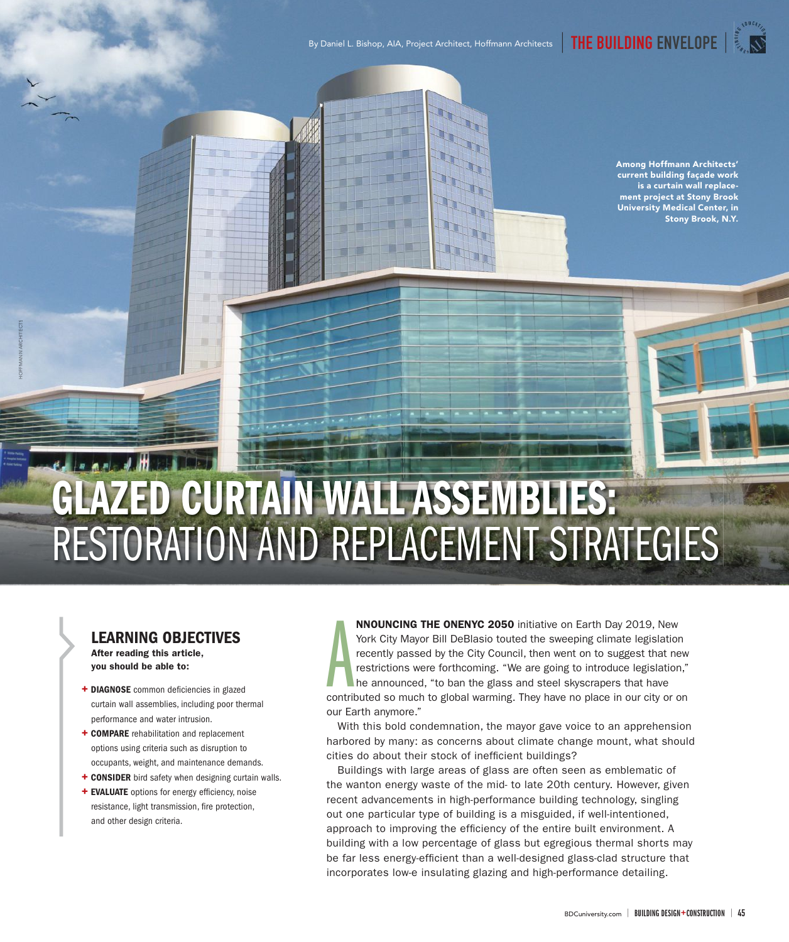**Among Hoffmann Architects' current building façade work is a curtain wall replacement project at Stony Brook University Medical Center, in Stony Brook, N.Y.** 

# **GLAZED CURTAIN WALL ASSEMBLIES:**  RESTORATION AND REPLACEMENT STRATEGIES

# **LEARNING OBJECTIVES After reading this article, you should be able to:**

HOFFMANN ARCHITECTS

- + DIAGNOSE common deficiencies in glazed curtain wall assemblies, including poor thermal performance and water intrusion.
- **+ COMPARE** rehabilitation and replacement options using criteria such as disruption to occupants, weight, and maintenance demands.
- **+ CONSIDER** bird safety when designing curtain walls.
- **+ EVALUATE** options for energy efficiency, noise resistance, light transmission, fire protection, and other design criteria.

A **NNOUNCING THE ONENYC 2050** initiative on Earth Day 2019, New York City Mayor Bill DeBlasio touted the sweeping climate legislation recently passed by the City Council, then went on to suggest that new restrictions were forthcoming. "We are going to introduce legislation," he announced, "to ban the glass and steel skyscrapers that have contributed so much to global warming. They have no place in our city or on our Earth anymore."

With this bold condemnation, the mayor gave voice to an apprehension harbored by many: as concerns about climate change mount, what should cities do about their stock of inefficient buildings?

Buildings with large areas of glass are often seen as emblematic of the wanton energy waste of the mid- to late 20th century. However, given recent advancements in high-performance building technology, singling out one particular type of building is a misguided, if well-intentioned, approach to improving the efficiency of the entire built environment. A building with a low percentage of glass but egregious thermal shorts may be far less energy-efficient than a well-designed glass-clad structure that incorporates low-e insulating glazing and high-performance detailing.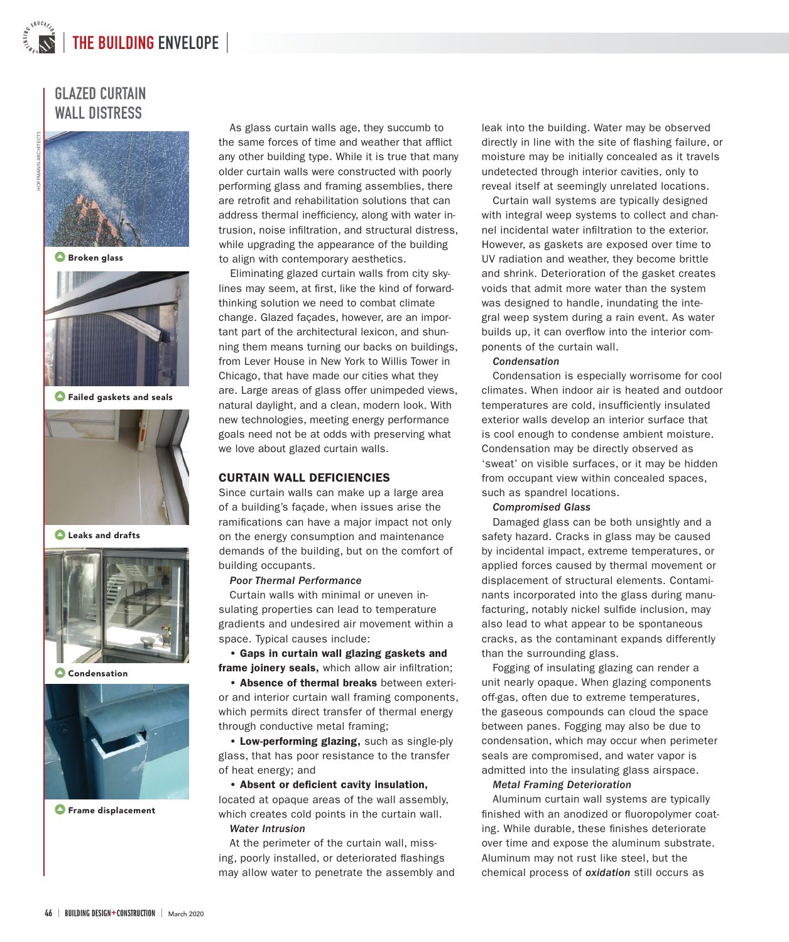# **GLAZED CURTAIN WALL DISTRESS**



 **Broken glass**



 **Failed gaskets and seals**



 **Leaks and drafts**



 **Condensation**



 **Frame displacement**

As glass curtain walls age, they succumb to the same forces of time and weather that afflict any other building type. While it is true that many older curtain walls were constructed with poorly performing glass and framing assemblies, there are retrofit and rehabilitation solutions that can address thermal inefficiency, along with water intrusion, noise infiltration, and structural distress, while upgrading the appearance of the building to align with contemporary aesthetics.

Eliminating glazed curtain walls from city skylines may seem, at first, like the kind of forwardthinking solution we need to combat climate change. Glazed façades, however, are an important part of the architectural lexicon, and shunning them means turning our backs on buildings, from Lever House in New York to Willis Tower in Chicago, that have made our cities what they are. Large areas of glass offer unimpeded views, natural daylight, and a clean, modern look. With new technologies, meeting energy performance goals need not be at odds with preserving what we love about glazed curtain walls.

# **CURTAIN WALL DEFICIENCIES**

Since curtain walls can make up a large area of a building's façade, when issues arise the ramifications can have a major impact not only on the energy consumption and maintenance demands of the building, but on the comfort of building occupants.

## Poor Thermal Performance

Curtain walls with minimal or uneven insulating properties can lead to temperature gradients and undesired air movement within a space. Typical causes include:

**• Gaps in curtain wall glazing gaskets and**  frame joinery seals, which allow air infiltration;

**• Absence of thermal breaks** between exterior and interior curtain wall framing components, which permits direct transfer of thermal energy through conductive metal framing;

**• Low-performing glazing,** such as single-ply glass, that has poor resistance to the transfer of heat energy; and

# **• Absent or deficient cavity insulation,**

located at opaque areas of the wall assembly, which creates cold points in the curtain wall. Water Intrusion

At the perimeter of the curtain wall, missing, poorly installed, or deteriorated flashings may allow water to penetrate the assembly and leak into the building. Water may be observed directly in line with the site of flashing failure, or moisture may be initially concealed as it travels undetected through interior cavities, only to reveal itself at seemingly unrelated locations.

Curtain wall systems are typically designed with integral weep systems to collect and channel incidental water infiltration to the exterior. However, as gaskets are exposed over time to UV radiation and weather, they become brittle and shrink. Deterioration of the gasket creates voids that admit more water than the system was designed to handle, inundating the integral weep system during a rain event. As water builds up, it can overflow into the interior components of the curtain wall.

## Condensation

Condensation is especially worrisome for cool climates. When indoor air is heated and outdoor temperatures are cold, insufficiently insulated exterior walls develop an interior surface that is cool enough to condense ambient moisture. Condensation may be directly observed as 'sweat' on visible surfaces, or it may be hidden from occupant view within concealed spaces, such as spandrel locations.

## Compromised Glass

Damaged glass can be both unsightly and a safety hazard. Cracks in glass may be caused by incidental impact, extreme temperatures, or applied forces caused by thermal movement or displacement of structural elements. Contaminants incorporated into the glass during manufacturing, notably nickel sulfide inclusion, may also lead to what appear to be spontaneous cracks, as the contaminant expands differently than the surrounding glass.

Fogging of insulating glazing can render a unit nearly opaque. When glazing components off-gas, often due to extreme temperatures, the gaseous compounds can cloud the space between panes. Fogging may also be due to condensation, which may occur when perimeter seals are compromised, and water vapor is admitted into the insulating glass airspace.

# Metal Framing Deterioration

Aluminum curtain wall systems are typically finished with an anodized or fluoropolymer coating. While durable, these finishes deteriorate over time and expose the aluminum substrate. Aluminum may not rust like steel, but the chemical process of oxidation still occurs as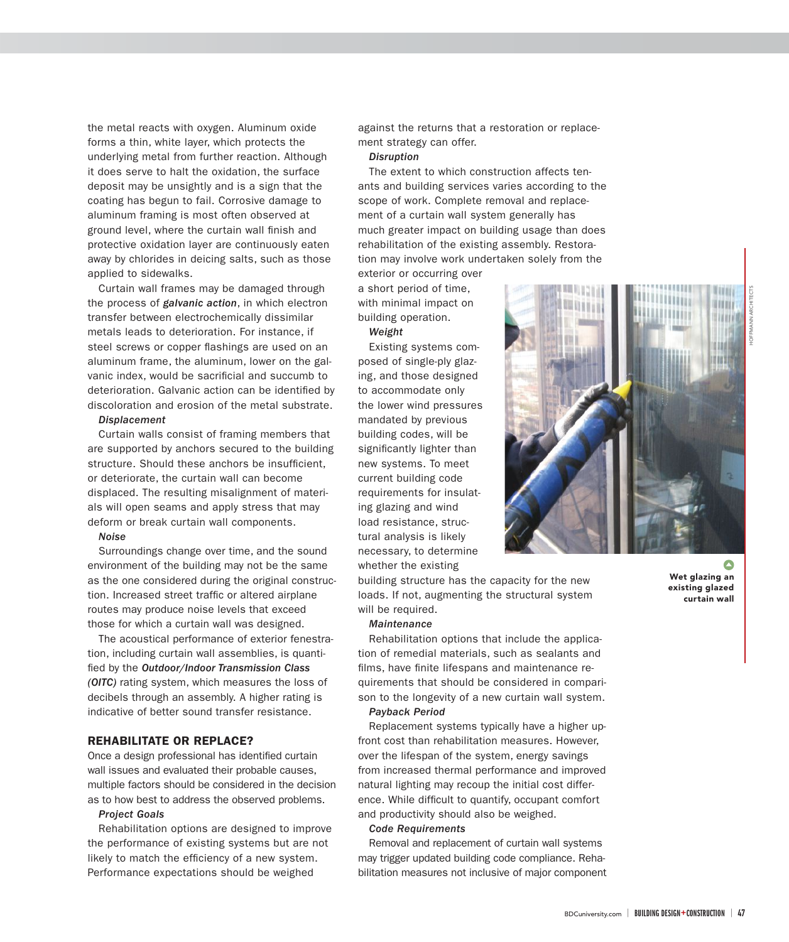the metal reacts with oxygen. Aluminum oxide forms a thin, white layer, which protects the underlying metal from further reaction. Although it does serve to halt the oxidation, the surface deposit may be unsightly and is a sign that the coating has begun to fail. Corrosive damage to aluminum framing is most often observed at ground level, where the curtain wall finish and protective oxidation layer are continuously eaten away by chlorides in deicing salts, such as those applied to sidewalks.

Curtain wall frames may be damaged through the process of *galvanic action*, in which electron transfer between electrochemically dissimilar metals leads to deterioration. For instance, if steel screws or copper flashings are used on an aluminum frame, the aluminum, lower on the galvanic index, would be sacrificial and succumb to deterioration. Galvanic action can be identified by discoloration and erosion of the metal substrate.

# Displacement

Curtain walls consist of framing members that are supported by anchors secured to the building structure. Should these anchors be insufficient, or deteriorate, the curtain wall can become displaced. The resulting misalignment of materials will open seams and apply stress that may deform or break curtain wall components.

## Noise

Surroundings change over time, and the sound environment of the building may not be the same as the one considered during the original construction. Increased street traffic or altered airplane routes may produce noise levels that exceed those for which a curtain wall was designed.

The acoustical performance of exterior fenestration, including curtain wall assemblies, is quantified by the Outdoor/Indoor Transmission Class (OITC) rating system, which measures the loss of decibels through an assembly. A higher rating is indicative of better sound transfer resistance.

# **REHABILITATE OR REPLACE?**

Once a design professional has identified curtain wall issues and evaluated their probable causes, multiple factors should be considered in the decision as to how best to address the observed problems.

# Project Goals

Rehabilitation options are designed to improve the performance of existing systems but are not likely to match the efficiency of a new system. Performance expectations should be weighed

against the returns that a restoration or replacement strategy can offer.

### **Disruption**

The extent to which construction affects tenants and building services varies according to the scope of work. Complete removal and replacement of a curtain wall system generally has much greater impact on building usage than does rehabilitation of the existing assembly. Restoration may involve work undertaken solely from the exterior or occurring over

a short period of time, with minimal impact on building operation.

#### Weight

Existing systems composed of single-ply glazing, and those designed to accommodate only the lower wind pressures mandated by previous building codes, will be significantly lighter than new systems. To meet current building code requirements for insulating glazing and wind load resistance, structural analysis is likely necessary, to determine whether the existing

building structure has the capacity for the new loads. If not, augmenting the structural system will be required.

#### **Maintenance**

Rehabilitation options that include the application of remedial materials, such as sealants and films, have finite lifespans and maintenance requirements that should be considered in comparison to the longevity of a new curtain wall system.

# Payback Period

Replacement systems typically have a higher upfront cost than rehabilitation measures. However, over the lifespan of the system, energy savings from increased thermal performance and improved natural lighting may recoup the initial cost difference. While difficult to quantify, occupant comfort and productivity should also be weighed.

## Code Requirements

Removal and replacement of curtain wall systems may trigger updated building code compliance. Rehabilitation measures not inclusive of major component



 $\bullet$ **Wet glazing an existing glazed curtain wall**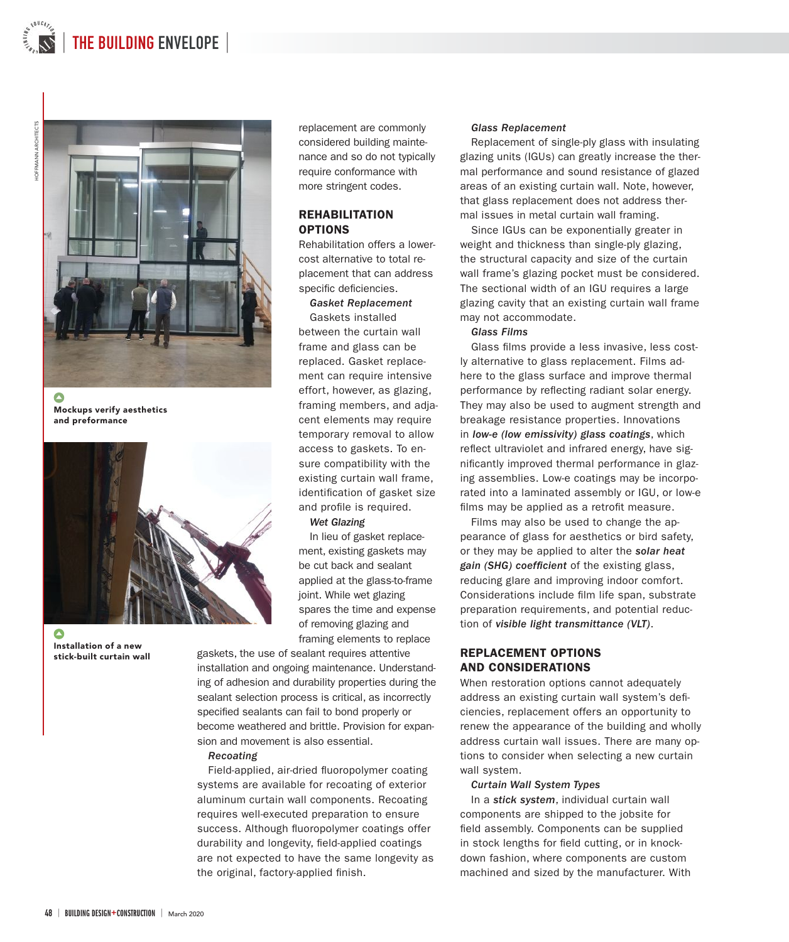

Δ **Mockups verify aesthetics and preformance**



**Installation of a new stick-built curtain wall**

replacement are commonly considered building maintenance and so do not typically require conformance with more stringent codes.

# **REHABILITATION OPTIONS**

Rehabilitation offers a lowercost alternative to total replacement that can address specific deficiencies.

# Gasket Replacement

Gaskets installed between the curtain wall frame and glass can be replaced. Gasket replacement can require intensive effort, however, as glazing, framing members, and adjacent elements may require temporary removal to allow access to gaskets. To ensure compatibility with the existing curtain wall frame, identification of gasket size and profile is required.

# Wet Glazing

In lieu of gasket replacement, existing gaskets may be cut back and sealant applied at the glass-to-frame joint. While wet glazing spares the time and expense of removing glazing and framing elements to replace

gaskets, the use of sealant requires attentive

installation and ongoing maintenance. Understanding of adhesion and durability properties during the sealant selection process is critical, as incorrectly specified sealants can fail to bond properly or become weathered and brittle. Provision for expansion and movement is also essential.

## Recoating

Field-applied, air-dried fluoropolymer coating systems are available for recoating of exterior aluminum curtain wall components. Recoating requires well-executed preparation to ensure success. Although fluoropolymer coatings offer durability and longevity, field-applied coatings are not expected to have the same longevity as the original, factory-applied finish.

#### Glass Replacement

Replacement of single-ply glass with insulating glazing units (IGUs) can greatly increase the thermal performance and sound resistance of glazed areas of an existing curtain wall. Note, however, that glass replacement does not address thermal issues in metal curtain wall framing.

Since IGUs can be exponentially greater in weight and thickness than single-ply glazing, the structural capacity and size of the curtain wall frame's glazing pocket must be considered. The sectional width of an IGU requires a large glazing cavity that an existing curtain wall frame may not accommodate.

## Glass Films

Glass films provide a less invasive, less costly alternative to glass replacement. Films adhere to the glass surface and improve thermal performance by reflecting radiant solar energy. They may also be used to augment strength and breakage resistance properties. Innovations in low-e (low emissivity) glass coatings, which reflect ultraviolet and infrared energy, have significantly improved thermal performance in glazing assemblies. Low-e coatings may be incorporated into a laminated assembly or IGU, or low-e films may be applied as a retrofit measure.

Films may also be used to change the appearance of glass for aesthetics or bird safety, or they may be applied to alter the solar heat gain (SHG) coefficient of the existing glass, reducing glare and improving indoor comfort. Considerations include film life span, substrate preparation requirements, and potential reduction of visible light transmittance (VLT).

# **REPLACEMENT OPTIONS AND CONSIDERATIONS**

When restoration options cannot adequately address an existing curtain wall system's deficiencies, replacement offers an opportunity to renew the appearance of the building and wholly address curtain wall issues. There are many options to consider when selecting a new curtain wall system.

## Curtain Wall System Types

In a stick system, individual curtain wall components are shipped to the jobsite for field assembly. Components can be supplied in stock lengths for field cutting, or in knockdown fashion, where components are custom machined and sized by the manufacturer. With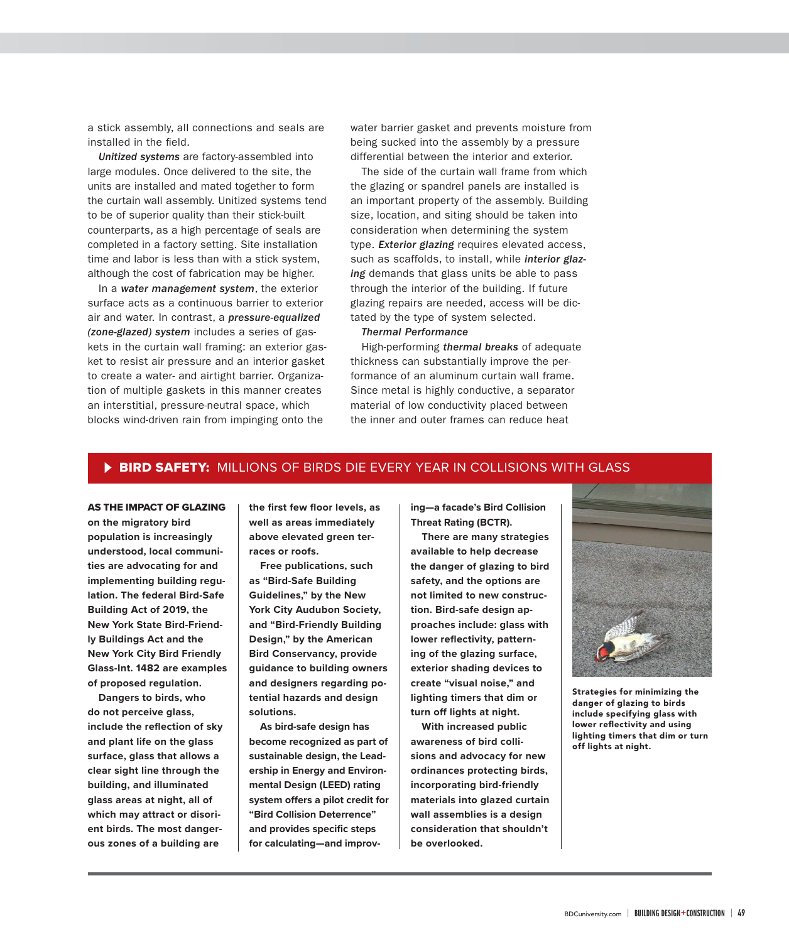a stick assembly, all connections and seals are installed in the field.

Unitized systems are factory-assembled into large modules. Once delivered to the site, the units are installed and mated together to form the curtain wall assembly. Unitized systems tend to be of superior quality than their stick-built counterparts, as a high percentage of seals are completed in a factory setting. Site installation time and labor is less than with a stick system, although the cost of fabrication may be higher.

In a water management system, the exterior surface acts as a continuous barrier to exterior air and water. In contrast, a pressure-equalized (zone-glazed) system includes a series of gaskets in the curtain wall framing: an exterior gasket to resist air pressure and an interior gasket to create a water- and airtight barrier. Organization of multiple gaskets in this manner creates an interstitial, pressure-neutral space, which blocks wind-driven rain from impinging onto the

water barrier gasket and prevents moisture from being sucked into the assembly by a pressure differential between the interior and exterior.

The side of the curtain wall frame from which the glazing or spandrel panels are installed is an important property of the assembly. Building size, location, and siting should be taken into consideration when determining the system type. **Exterior glazing** requires elevated access, such as scaffolds, to install, while interior glazing demands that glass units be able to pass through the interior of the building. If future glazing repairs are needed, access will be dictated by the type of system selected.

# Thermal Performance

High-performing thermal breaks of adequate thickness can substantially improve the performance of an aluminum curtain wall frame. Since metal is highly conductive, a separator material of low conductivity placed between the inner and outer frames can reduce heat

# **BIRD SAFETY:** MILLIONS OF BIRDS DIE EVERY YEAR IN COLLISIONS WITH GLASS

## AS THE IMPACT OF GLAZING

**on the migratory bird population is increasingly understood, local communities are advocating for and implementing building regulation. The federal Bird-Safe Building Act of 2019, the New York State Bird-Friendly Buildings Act and the New York City Bird Friendly Glass-Int. 1482 are examples of proposed regulation.**

**Dangers to birds, who do not perceive glass,**  include the reflection of sky **and plant life on the glass surface, glass that allows a clear sight line through the building, and illuminated glass areas at night, all of which may attract or disorient birds. The most dangerous zones of a building are** 

the first few floor levels, as **well as areas immediately above elevated green terraces or roofs.** 

**Free publications, such as "Bird-Safe Building Guidelines," by the New York City Audubon Society, and "Bird-Friendly Building Design," by the American Bird Conservancy, provide guidance to building owners and designers regarding potential hazards and design solutions.** 

**As bird-safe design has become recognized as part of sustainable design, the Leadership in Energy and Environmental Design (LEED) rating**  system offers a pilot credit for **"Bird Collision Deterrence"**  and provides specific steps **for calculating—and improv-** **ing—a facade's Bird Collision Threat Rating (BCTR).**

**There are many strategies available to help decrease the danger of glazing to bird safety, and the options are not limited to new construction. Bird-safe design approaches include: glass with**  lower reflectivity, pattern**ing of the glazing surface, exterior shading devices to create "visual noise," and lighting timers that dim or turn off lights at night.**

**With increased public awareness of bird collisions and advocacy for new ordinances protecting birds, incorporating bird-friendly materials into glazed curtain wall assemblies is a design consideration that shouldn't be overlooked.**



**Strategies for minimizing the danger of glazing to birds include specifying glass with**  lower reflectivity and using **lighting timers that dim or turn off lights at night.**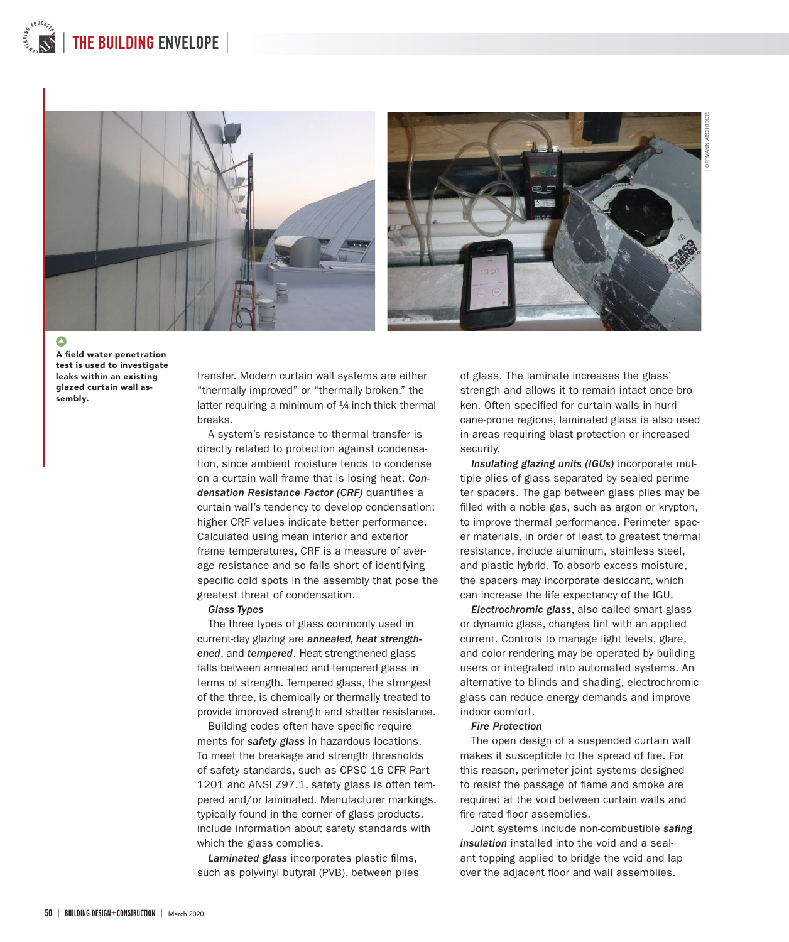



**A** field water penetration **test is used to investigate leaks within an existing glazed curtain wall assembly.**

transfer. Modern curtain wall systems are either "thermally improved" or "thermally broken," the latter requiring a minimum of <sup>1</sup>/<sub>4</sub>-inch-thick thermal breaks.

A system's resistance to thermal transfer is directly related to protection against condensation, since ambient moisture tends to condense on a curtain wall frame that is losing heat. Condensation Resistance Factor (CRF) quantifies a curtain wall's tendency to develop condensation; higher CRF values indicate better performance. Calculated using mean interior and exterior frame temperatures, CRF is a measure of average resistance and so falls short of identifying specific cold spots in the assembly that pose the greatest threat of condensation.

### Glass Types

The three types of glass commonly used in current-day glazing are annealed, heat strengthened, and tempered. Heat-strengthened glass falls between annealed and tempered glass in terms of strength. Tempered glass, the strongest of the three, is chemically or thermally treated to provide improved strength and shatter resistance.

Building codes often have specific requirements for safety glass in hazardous locations. To meet the breakage and strength thresholds of safety standards, such as CPSC 16 CFR Part 1201 and ANSI Z97.1, safety glass is often tempered and/or laminated. Manufacturer markings, typically found in the corner of glass products, include information about safety standards with which the glass complies.

Laminated glass incorporates plastic films, such as polyvinyl butyral (PVB), between plies of glass. The laminate increases the glass' strength and allows it to remain intact once broken. Often specified for curtain walls in hurricane-prone regions, laminated glass is also used in areas requiring blast protection or increased security.

Insulating glazing units (IGUs) incorporate multiple plies of glass separated by sealed perimeter spacers. The gap between glass plies may be filled with a noble gas, such as argon or krypton, to improve thermal performance. Perimeter spacer materials, in order of least to greatest thermal resistance, include aluminum, stainless steel, and plastic hybrid. To absorb excess moisture, the spacers may incorporate desiccant, which can increase the life expectancy of the IGU.

Electrochromic glass, also called smart glass or dynamic glass, changes tint with an applied current. Controls to manage light levels, glare, and color rendering may be operated by building users or integrated into automated systems. An alternative to blinds and shading, electrochromic glass can reduce energy demands and improve indoor comfort.

#### Fire Protection

The open design of a suspended curtain wall makes it susceptible to the spread of fire. For this reason, perimeter joint systems designed to resist the passage of flame and smoke are required at the void between curtain walls and fire-rated floor assemblies.

Joint systems include non-combustible safing insulation installed into the void and a sealant topping applied to bridge the void and lap over the adjacent floor and wall assemblies.